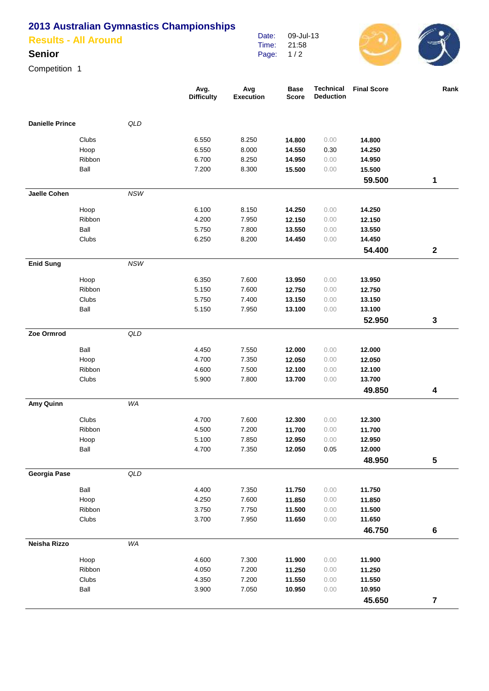## **2013 Australian Gymnastics Championships**

|  | <b>Results - All Around</b> |
|--|-----------------------------|
|  |                             |

## **Senior**

Competition 1

|                        |        |                | Avg.<br><b>Difficulty</b> | Avg<br><b>Execution</b> | <b>Base</b><br><b>Score</b> | <b>Technical</b><br><b>Deduction</b> | <b>Final Score</b> | Rank                    |
|------------------------|--------|----------------|---------------------------|-------------------------|-----------------------------|--------------------------------------|--------------------|-------------------------|
| <b>Danielle Prince</b> |        | QLD            |                           |                         |                             |                                      |                    |                         |
|                        | Clubs  |                | 6.550                     | 8.250                   | 14.800                      | 0.00                                 | 14.800             |                         |
|                        | Hoop   |                | 6.550                     | 8.000                   | 14.550                      | 0.30                                 | 14.250             |                         |
|                        | Ribbon |                | 6.700                     | 8.250                   | 14.950                      | 0.00                                 | 14.950             |                         |
|                        | Ball   |                | 7.200                     | 8.300                   | 15.500                      | 0.00                                 | 15.500             |                         |
|                        |        |                |                           |                         |                             |                                      | 59.500             | 1                       |
| Jaelle Cohen           |        | <b>NSW</b>     |                           |                         |                             |                                      |                    |                         |
|                        | Hoop   |                | 6.100                     | 8.150                   | 14.250                      | 0.00                                 | 14.250             |                         |
|                        | Ribbon |                | 4.200                     | 7.950                   | 12.150                      | 0.00                                 | 12.150             |                         |
|                        | Ball   |                | 5.750                     | 7.800                   | 13.550                      | 0.00                                 | 13.550             |                         |
|                        | Clubs  |                | 6.250                     | 8.200                   | 14.450                      | 0.00                                 | 14.450             |                         |
|                        |        |                |                           |                         |                             |                                      | 54.400             | $\mathbf 2$             |
| <b>Enid Sung</b>       |        | <b>NSW</b>     |                           |                         |                             |                                      |                    |                         |
|                        | Hoop   |                | 6.350                     | 7.600                   | 13.950                      | 0.00                                 | 13.950             |                         |
|                        | Ribbon |                | 5.150                     | 7.600                   | 12.750                      | 0.00                                 | 12.750             |                         |
|                        | Clubs  |                | 5.750                     | 7.400                   | 13.150                      | 0.00                                 | 13.150             |                         |
|                        | Ball   |                | 5.150                     | 7.950                   | 13.100                      | 0.00                                 | 13.100             |                         |
|                        |        |                |                           |                         |                             |                                      | 52.950             | 3                       |
| Zoe Ormrod             |        | QLD            |                           |                         |                             |                                      |                    |                         |
|                        | Ball   |                | 4.450                     | 7.550                   | 12.000                      | 0.00                                 | 12.000             |                         |
|                        | Hoop   |                | 4.700                     | 7.350                   | 12.050                      | 0.00                                 | 12.050             |                         |
|                        | Ribbon |                | 4.600                     | 7.500                   | 12.100                      | 0.00                                 | 12.100             |                         |
|                        | Clubs  |                | 5.900                     | 7.800                   | 13.700                      | 0.00                                 | 13.700             |                         |
|                        |        |                |                           |                         |                             |                                      | 49.850             | 4                       |
| Amy Quinn              |        | WA             |                           |                         |                             |                                      |                    |                         |
|                        | Clubs  |                | 4.700                     | 7.600                   | 12.300                      | 0.00                                 | 12.300             |                         |
|                        | Ribbon |                | 4.500                     | 7.200                   | 11.700                      | 0.00                                 | 11.700             |                         |
|                        | Hoop   |                | 5.100                     | 7.850                   | 12.950                      | 0.00                                 | 12.950             |                         |
|                        | Ball   |                | 4.700                     | 7.350                   | 12.050                      | 0.05                                 | 12.000             |                         |
|                        |        |                |                           |                         |                             |                                      | 48.950             | 5                       |
| Georgia Pase           |        | $\mathsf{QLD}$ |                           |                         |                             |                                      |                    |                         |
|                        | Ball   |                | 4.400                     | 7.350                   | 11.750                      | 0.00                                 | 11.750             |                         |
|                        | Hoop   |                | 4.250                     | 7.600                   | 11.850                      | 0.00                                 | 11.850             |                         |
|                        | Ribbon |                | 3.750                     | 7.750                   | 11.500                      | 0.00                                 | 11.500             |                         |
|                        | Clubs  |                | 3.700                     | 7.950                   | 11.650                      | 0.00                                 | 11.650             |                         |
|                        |        |                |                           |                         |                             |                                      | 46.750             | $\bf 6$                 |
| Neisha Rizzo           |        | WA             |                           |                         |                             |                                      |                    |                         |
|                        | Hoop   |                | 4.600                     | 7.300                   | 11.900                      | 0.00                                 | 11.900             |                         |
|                        | Ribbon |                | 4.050                     | 7.200                   | 11.250                      | 0.00                                 | 11.250             |                         |
|                        | Clubs  |                | 4.350                     | 7.200                   | 11.550                      | 0.00                                 | 11.550             |                         |
|                        | Ball   |                | 3.900                     | 7.050                   | 10.950                      | 0.00                                 | 10.950             |                         |
|                        |        |                |                           |                         |                             |                                      | 45.650             | $\overline{\mathbf{7}}$ |

Date: Time: Page: 09-Jul-13 21:58 1 / 2

 $\bigcirc$